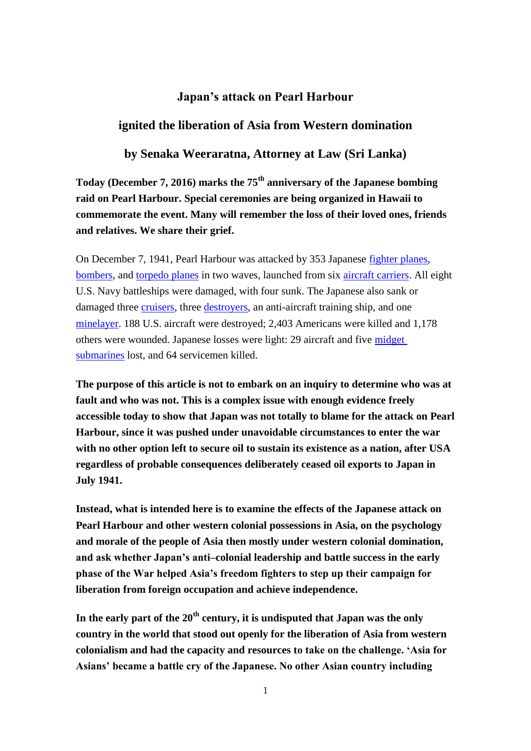#### **Japan's attack on Pearl Harbour**

#### **ignited the liberation of Asia from Western domination**

**by Senaka Weeraratna, Attorney at Law (Sri Lanka)**

**Today (December 7, 2016) marks the 75th anniversary of the Japanese bombing raid on Pearl Harbour. Special ceremonies are being organized in Hawaii to commemorate the event. Many will remember the loss of their loved ones, friends and relatives. We share their grief.**

On December 7, 1941, Pearl Harbour was attacked by 353 Japanese [fighter planes,](https://en.wikipedia.org/wiki/Fighter_planes) [bombers,](https://en.wikipedia.org/wiki/Bombers) and [torpedo planes](https://en.wikipedia.org/wiki/Torpedo_planes) in two waves, launched from six [aircraft carriers.](https://en.wikipedia.org/wiki/Aircraft_carrier) All eight U.S. Navy battleships were damaged, with four sunk. The Japanese also sank or damaged three [cruisers,](https://en.wikipedia.org/wiki/Cruiser) three [destroyers,](https://en.wikipedia.org/wiki/Destroyer) an anti-aircraft training ship, and one [minelayer.](https://en.wikipedia.org/wiki/Minelayer) 188 U.S. aircraft were destroyed; 2,403 Americans were killed and 1,178 others were wounded. Japanese losses were light: 29 aircraft and five [midget](https://en.wikipedia.org/wiki/Midget_submarine)  [submarines](https://en.wikipedia.org/wiki/Midget_submarine) lost, and 64 servicemen killed.

**The purpose of this article is not to embark on an inquiry to determine who was at fault and who was not. This is a complex issue with enough evidence freely accessible today to show that Japan was not totally to blame for the attack on Pearl Harbour, since it was pushed under unavoidable circumstances to enter the war with no other option left to secure oil to sustain its existence as a nation, after USA regardless of probable consequences deliberately ceased oil exports to Japan in July 1941.**

**Instead, what is intended here is to examine the effects of the Japanese attack on Pearl Harbour and other western colonial possessions in Asia, on the psychology and morale of the people of Asia then mostly under western colonial domination, and ask whether Japan's anti–colonial leadership and battle success in the early phase of the War helped Asia's freedom fighters to step up their campaign for liberation from foreign occupation and achieve independence.** 

**In the early part of the 20th century, it is undisputed that Japan was the only country in the world that stood out openly for the liberation of Asia from western colonialism and had the capacity and resources to take on the challenge. 'Asia for Asians' became a battle cry of the Japanese. No other Asian country including**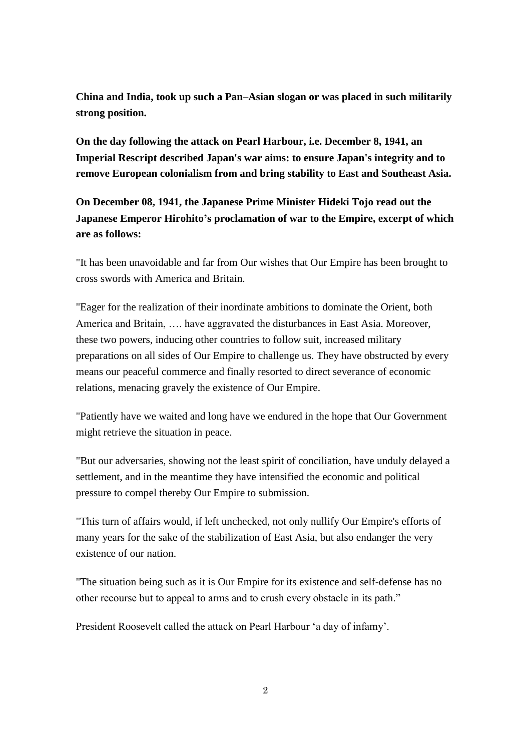**China and India, took up such a Pan–Asian slogan or was placed in such militarily strong position.** 

**On the day following the attack on Pearl Harbour, i.e. December 8, 1941, an Imperial Rescript described Japan's war aims: to ensure Japan's integrity and to remove European colonialism from and bring stability to East and Southeast Asia.** 

**On December 08, 1941, the Japanese Prime Minister Hideki Tojo read out the Japanese Emperor Hirohito's proclamation of war to the Empire, excerpt of which are as follows:**

"It has been unavoidable and far from Our wishes that Our Empire has been brought to cross swords with America and Britain.

"Eager for the realization of their inordinate ambitions to dominate the Orient, both America and Britain, …. have aggravated the disturbances in East Asia. Moreover, these two powers, inducing other countries to follow suit, increased military preparations on all sides of Our Empire to challenge us. They have obstructed by every means our peaceful commerce and finally resorted to direct severance of economic relations, menacing gravely the existence of Our Empire.

"Patiently have we waited and long have we endured in the hope that Our Government might retrieve the situation in peace.

"But our adversaries, showing not the least spirit of conciliation, have unduly delayed a settlement, and in the meantime they have intensified the economic and political pressure to compel thereby Our Empire to submission.

"This turn of affairs would, if left unchecked, not only nullify Our Empire's efforts of many years for the sake of the stabilization of East Asia, but also endanger the very existence of our nation.

"The situation being such as it is Our Empire for its existence and self-defense has no other recourse but to appeal to arms and to crush every obstacle in its path."

President Roosevelt called the attack on Pearl Harbour 'a day of infamy'.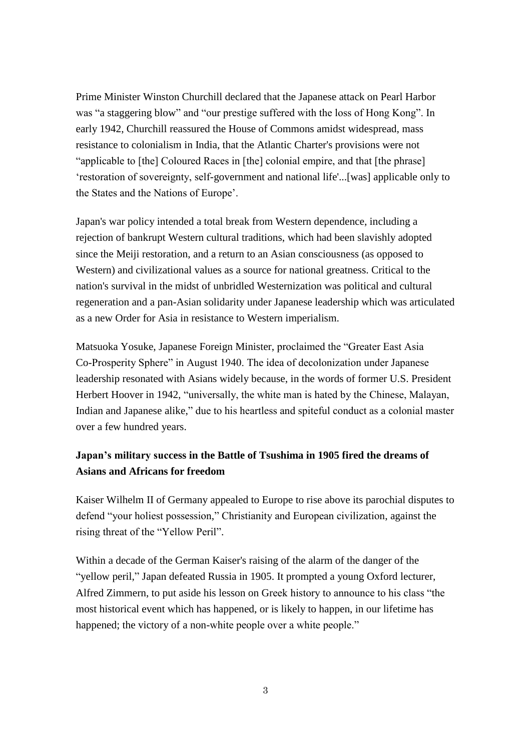Prime Minister Winston Churchill declared that the Japanese attack on Pearl Harbor was "a staggering blow" and "our prestige suffered with the loss of Hong Kong". In early 1942, Churchill reassured the House of Commons amidst widespread, mass resistance to colonialism in India, that the Atlantic Charter's provisions were not "applicable to [the] Coloured Races in [the] colonial empire, and that [the phrase] 'restoration of sovereignty, self-government and national life'...[was] applicable only to the States and the Nations of Europe'.

Japan's war policy intended a total break from Western dependence, including a rejection of bankrupt Western cultural traditions, which had been slavishly adopted since the Meiji restoration, and a return to an Asian consciousness (as opposed to Western) and civilizational values as a source for national greatness. Critical to the nation's survival in the midst of unbridled Westernization was political and cultural regeneration and a pan-Asian solidarity under Japanese leadership which was articulated as a new Order for Asia in resistance to Western imperialism.

Matsuoka Yosuke, Japanese Foreign Minister, proclaimed the "Greater East Asia Co-Prosperity Sphere" in August 1940. The idea of decolonization under Japanese leadership resonated with Asians widely because, in the words of former U.S. President Herbert Hoover in 1942, "universally, the white man is hated by the Chinese, Malayan, Indian and Japanese alike," due to his heartless and spiteful conduct as a colonial master over a few hundred years.

### **Japan's military success in the Battle of Tsushima in 1905 fired the dreams of Asians and Africans for freedom**

Kaiser Wilhelm II of Germany appealed to Europe to rise above its parochial disputes to defend "your holiest possession," Christianity and European civilization, against the rising threat of the "Yellow Peril".

Within a decade of the German Kaiser's raising of the alarm of the danger of the "yellow peril," Japan defeated Russia in 1905. It prompted a young Oxford lecturer, Alfred Zimmern, to put aside his lesson on Greek history to announce to his class "the most historical event which has happened, or is likely to happen, in our lifetime has happened; the victory of a non-white people over a white people."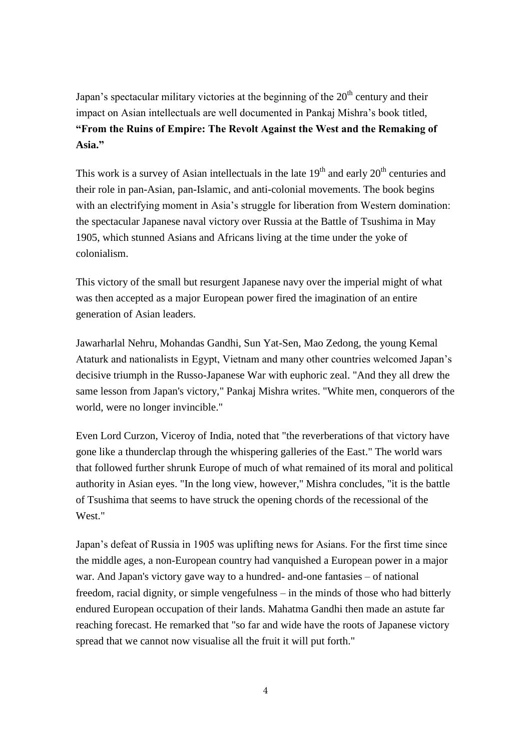Japan's spectacular military victories at the beginning of the  $20<sup>th</sup>$  century and their impact on Asian intellectuals are well documented in Pankaj Mishra's book titled, **"From the Ruins of Empire: The Revolt Against the West and the Remaking of Asia."**

This work is a survey of Asian intellectuals in the late  $19<sup>th</sup>$  and early  $20<sup>th</sup>$  centuries and their role in pan-Asian, pan-Islamic, and anti-colonial movements. The book begins with an electrifying moment in Asia's struggle for liberation from Western domination: the spectacular Japanese naval victory over Russia at the Battle of Tsushima in May 1905, which stunned Asians and Africans living at the time under the yoke of colonialism.

This victory of the small but resurgent Japanese navy over the imperial might of what was then accepted as a major European power fired the imagination of an entire generation of Asian leaders.

Jawarharlal Nehru, Mohandas Gandhi, Sun Yat-Sen, Mao Zedong, the young Kemal Ataturk and nationalists in Egypt, Vietnam and many other countries welcomed Japan's decisive triumph in the Russo-Japanese War with euphoric zeal. "And they all drew the same lesson from Japan's victory," Pankaj Mishra writes. "White men, conquerors of the world, were no longer invincible."

Even Lord Curzon, Viceroy of India, noted that "the reverberations of that victory have gone like a thunderclap through the whispering galleries of the East." The world wars that followed further shrunk Europe of much of what remained of its moral and political authority in Asian eyes. "In the long view, however," Mishra concludes, "it is the battle of Tsushima that seems to have struck the opening chords of the recessional of the West."

Japan's defeat of Russia in 1905 was uplifting news for Asians. For the first time since the middle ages, a non-European country had vanquished a European power in a major war. And Japan's victory gave way to a hundred- and-one fantasies – of national freedom, racial dignity, or simple vengefulness – in the minds of those who had bitterly endured European occupation of their lands. Mahatma Gandhi then made an astute far reaching forecast. He remarked that "so far and wide have the roots of Japanese victory spread that we cannot now visualise all the fruit it will put forth."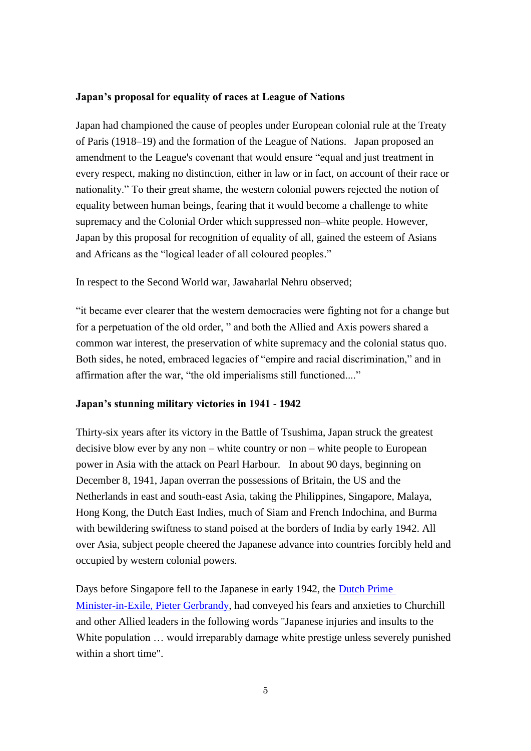#### **Japan's proposal for equality of races at League of Nations**

Japan had championed the cause of peoples under European colonial rule at the Treaty of Paris (1918–19) and the formation of the League of Nations. Japan proposed an amendment to the League's covenant that would ensure "equal and just treatment in every respect, making no distinction, either in law or in fact, on account of their race or nationality." To their great shame, the western colonial powers rejected the notion of equality between human beings, fearing that it would become a challenge to white supremacy and the Colonial Order which suppressed non–white people. However, Japan by this proposal for recognition of equality of all, gained the esteem of Asians and Africans as the "logical leader of all coloured peoples."

In respect to the Second World war, Jawaharlal Nehru observed;

"it became ever clearer that the western democracies were fighting not for a change but for a perpetuation of the old order, " and both the Allied and Axis powers shared a common war interest, the preservation of white supremacy and the colonial status quo. Both sides, he noted, embraced legacies of "empire and racial discrimination," and in affirmation after the war, "the old imperialisms still functioned...."

#### **Japan's stunning military victories in 1941 - 1942**

Thirty-six years after its victory in the Battle of Tsushima, Japan struck the greatest decisive blow ever by any non – white country or non – white people to European power in Asia with the attack on Pearl Harbour. In about 90 days, beginning on December 8, 1941, Japan overran the possessions of Britain, the US and the Netherlands in east and south-east Asia, taking the Philippines, Singapore, Malaya, Hong Kong, the Dutch East Indies, much of Siam and French Indochina, and Burma with bewildering swiftness to stand poised at the borders of India by early 1942. All over Asia, subject people cheered the Japanese advance into countries forcibly held and occupied by western colonial powers.

Days before Singapore fell to the Japanese in early 1942, the [Dutch Prime](http://ww2db.com/person_bio.php?person_id=246)  [Minister-in-Exile, Pieter Gerbrandy,](http://ww2db.com/person_bio.php?person_id=246) had conveyed his fears and anxieties to Churchill and other Allied leaders in the following words "Japanese injuries and insults to the White population ... would irreparably damage white prestige unless severely punished within a short time".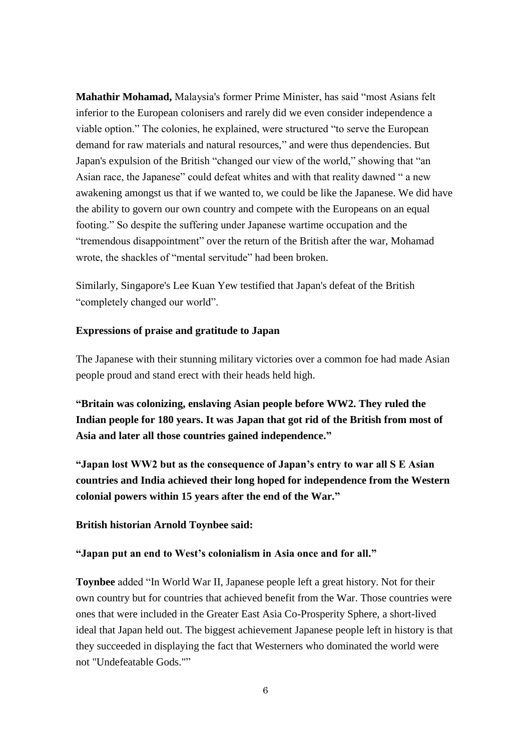**Mahathir Mohamad,** Malaysia's former Prime Minister, has said "most Asians felt inferior to the European colonisers and rarely did we even consider independence a viable option." The colonies, he explained, were structured "to serve the European demand for raw materials and natural resources," and were thus dependencies. But Japan's expulsion of the British "changed our view of the world," showing that "an Asian race, the Japanese" could defeat whites and with that reality dawned " a new awakening amongst us that if we wanted to, we could be like the Japanese. We did have the ability to govern our own country and compete with the Europeans on an equal footing." So despite the suffering under Japanese wartime occupation and the "tremendous disappointment" over the return of the British after the war, Mohamad wrote, the shackles of "mental servitude" had been broken.

Similarly, Singapore's Lee Kuan Yew testified that Japan's defeat of the British "completely changed our world".

#### **Expressions of praise and gratitude to Japan**

The Japanese with their stunning military victories over a common foe had made Asian people proud and stand erect with their heads held high.

**"Britain was colonizing, enslaving Asian people before WW2. They ruled the Indian people for 180 years. It was Japan that got rid of the British from most of Asia and later all those countries gained independence."**

**"Japan lost WW2 but as the consequence of Japan's entry to war all S E Asian countries and India achieved their long hoped for independence from the Western colonial powers within 15 years after the end of the War."**

#### **British historian Arnold Toynbee said:**

#### **"Japan put an end to West's colonialism in Asia once and for all."**

**Toynbee** added "In World War II, Japanese people left a great history. Not for their own country but for countries that achieved benefit from the War. Those countries were ones that were included in the Greater East Asia Co-Prosperity Sphere, a short-lived ideal that Japan held out. The biggest achievement Japanese people left in history is that they succeeded in displaying the fact that Westerners who dominated the world were not "Undefeatable Gods.""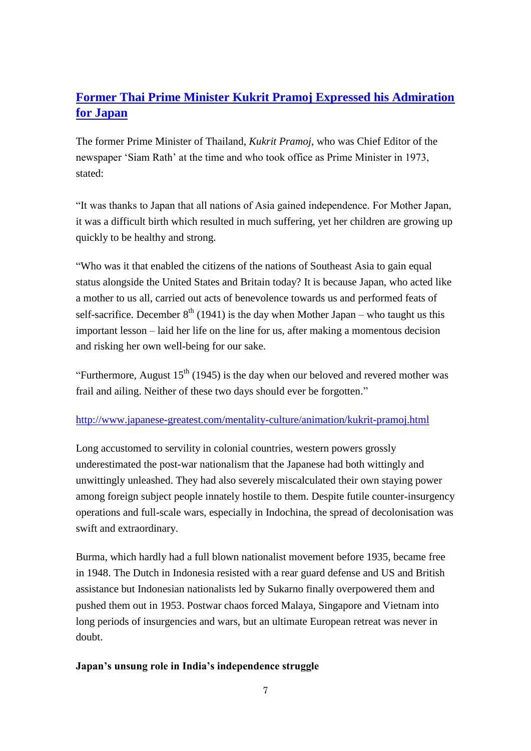# **[Former Thai Prime Minister Kukrit Pramoj Expressed his Admiration](http://www.japanese-greatest.com/mentality-culture/animation/kukrit-pramoj.html)  [for Japan](http://www.japanese-greatest.com/mentality-culture/animation/kukrit-pramoj.html)**

The former Prime Minister of Thailand, *Kukrit Pramoj*, who was Chief Editor of the newspaper 'Siam Rath' at the time and who took office as Prime Minister in 1973, stated:

"It was thanks to Japan that all nations of Asia gained independence. For Mother Japan, it was a difficult birth which resulted in much suffering, yet her children are growing up quickly to be healthy and strong.

"Who was it that enabled the citizens of the nations of Southeast Asia to gain equal status alongside the United States and Britain today? It is because Japan, who acted like a mother to us all, carried out acts of benevolence towards us and performed feats of self-sacrifice. December  $8<sup>th</sup>$  (1941) is the day when Mother Japan – who taught us this important lesson – laid her life on the line for us, after making a momentous decision and risking her own well-being for our sake.

"Furthermore, August  $15<sup>th</sup>$  (1945) is the day when our beloved and revered mother was frail and ailing. Neither of these two days should ever be forgotten."

#### <http://www.japanese-greatest.com/mentality-culture/animation/kukrit-pramoj.html>

Long accustomed to servility in colonial countries, western powers grossly underestimated the post-war nationalism that the Japanese had both wittingly and unwittingly unleashed. They had also severely miscalculated their own staying power among foreign subject people innately hostile to them. Despite futile counter-insurgency operations and full-scale wars, especially in Indochina, the spread of decolonisation was swift and extraordinary.

Burma, which hardly had a full blown nationalist movement before 1935, became free in 1948. The Dutch in Indonesia resisted with a rear guard defense and US and British assistance but Indonesian nationalists led by Sukarno finally overpowered them and pushed them out in 1953. Postwar chaos forced Malaya, Singapore and Vietnam into long periods of insurgencies and wars, but an ultimate European retreat was never in doubt.

#### **Japan's unsung role in India's independence struggle**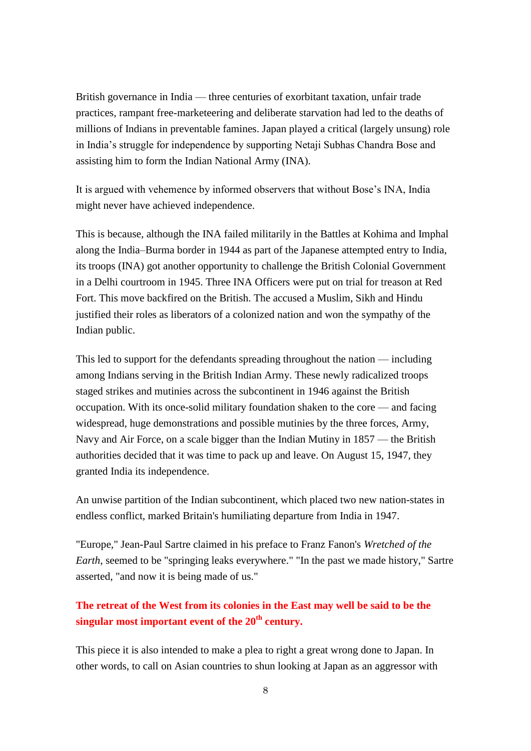British governance in India — three centuries of exorbitant taxation, unfair trade practices, rampant free-marketeering and deliberate starvation had led to the deaths of millions of Indians in preventable famines. Japan played a critical (largely unsung) role in India's struggle for independence by supporting Netaji Subhas Chandra Bose and assisting him to form the Indian National Army (INA).

It is argued with vehemence by informed observers that without Bose's INA, India might never have achieved independence.

This is because, although the INA failed militarily in the Battles at Kohima and Imphal along the India–Burma border in 1944 as part of the Japanese attempted entry to India, its troops (INA) got another opportunity to challenge the British Colonial Government in a Delhi courtroom in 1945. Three INA Officers were put on trial for treason at Red Fort. This move backfired on the British. The accused a Muslim, Sikh and Hindu justified their roles as liberators of a colonized nation and won the sympathy of the Indian public.

This led to support for the defendants spreading throughout the nation — including among Indians serving in the British Indian Army. These newly radicalized troops staged strikes and mutinies across the subcontinent in 1946 against the British occupation. With its once-solid military foundation shaken to the core — and facing widespread, huge demonstrations and possible mutinies by the three forces, Army, Navy and Air Force, on a scale bigger than the Indian Mutiny in 1857 — the British authorities decided that it was time to pack up and leave. On August 15, 1947, they granted India its independence.

An unwise partition of the Indian subcontinent, which placed two new nation-states in endless conflict, marked Britain's humiliating departure from India in 1947.

"Europe," Jean-Paul Sartre claimed in his preface to Franz Fanon's *Wretched of the Earth*, seemed to be "springing leaks everywhere." "In the past we made history," Sartre asserted, "and now it is being made of us."

## **The retreat of the West from its colonies in the East may well be said to be the singular most important event of the 20th century.**

This piece it is also intended to make a plea to right a great wrong done to Japan. In other words, to call on Asian countries to shun looking at Japan as an aggressor with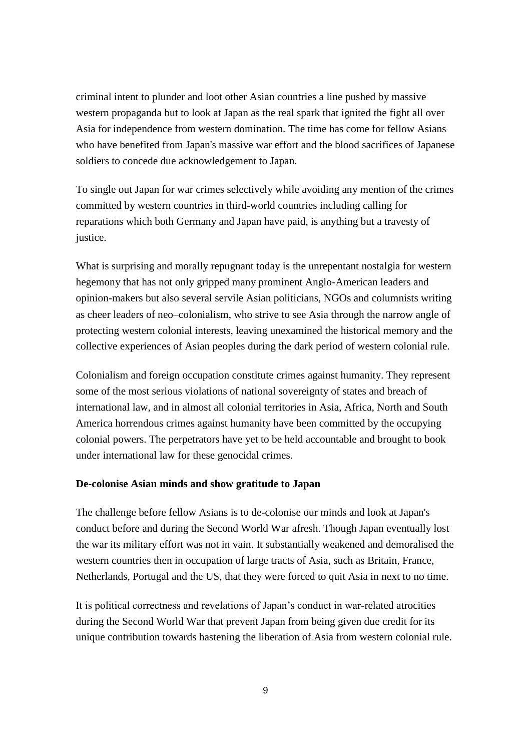criminal intent to plunder and loot other Asian countries a line pushed by massive western propaganda but to look at Japan as the real spark that ignited the fight all over Asia for independence from western domination. The time has come for fellow Asians who have benefited from Japan's massive war effort and the blood sacrifices of Japanese soldiers to concede due acknowledgement to Japan.

To single out Japan for war crimes selectively while avoiding any mention of the crimes committed by western countries in third-world countries including calling for reparations which both Germany and Japan have paid, is anything but a travesty of justice.

What is surprising and morally repugnant today is the unrepentant nostalgia for western hegemony that has not only gripped many prominent Anglo-American leaders and opinion-makers but also several servile Asian politicians, NGOs and columnists writing as cheer leaders of neo–colonialism, who strive to see Asia through the narrow angle of protecting western colonial interests, leaving unexamined the historical memory and the collective experiences of Asian peoples during the dark period of western colonial rule.

Colonialism and foreign occupation constitute crimes against humanity. They represent some of the most serious violations of national sovereignty of states and breach of international law, and in almost all colonial territories in Asia, Africa, North and South America horrendous crimes against humanity have been committed by the occupying colonial powers. The perpetrators have yet to be held accountable and brought to book under international law for these genocidal crimes.

#### **De-colonise Asian minds and show gratitude to Japan**

The challenge before fellow Asians is to de-colonise our minds and look at Japan's conduct before and during the Second World War afresh. Though Japan eventually lost the war its military effort was not in vain. It substantially weakened and demoralised the western countries then in occupation of large tracts of Asia, such as Britain, France, Netherlands, Portugal and the US, that they were forced to quit Asia in next to no time.

It is political correctness and revelations of Japan's conduct in war-related atrocities during the Second World War that prevent Japan from being given due credit for its unique contribution towards hastening the liberation of Asia from western colonial rule.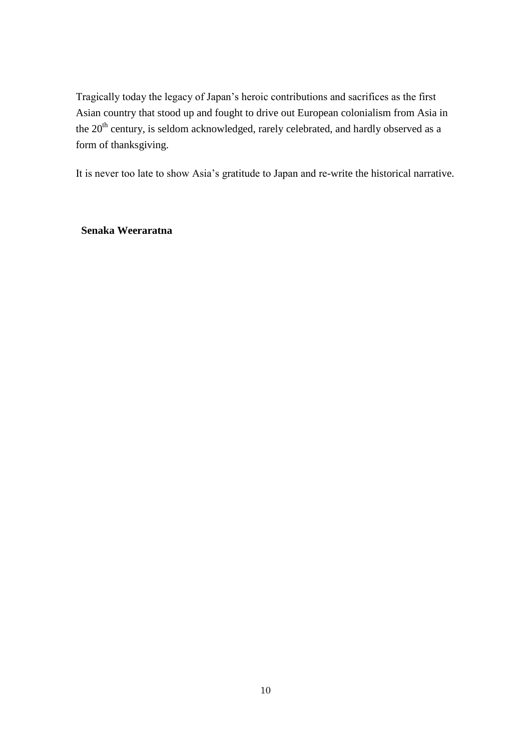Tragically today the legacy of Japan's heroic contributions and sacrifices as the first Asian country that stood up and fought to drive out European colonialism from Asia in the  $20<sup>th</sup>$  century, is seldom acknowledged, rarely celebrated, and hardly observed as a form of thanksgiving.

It is never too late to show Asia's gratitude to Japan and re-write the historical narrative.

**Senaka Weeraratna**